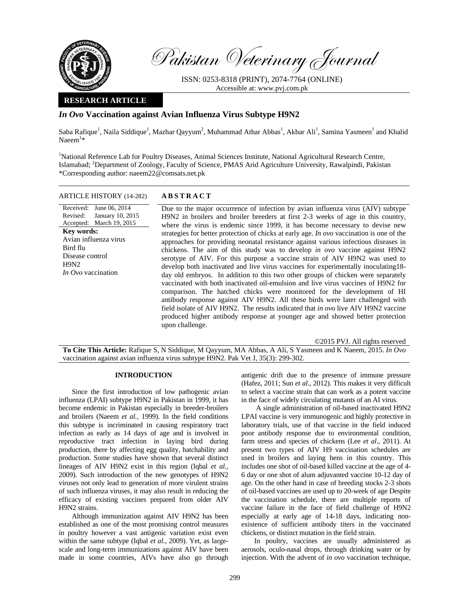

Pakistan Veterinary Journal

ISSN: 0253-8318 (PRINT), 2074-7764 (ONLINE) Accessible at: www.pvj.com.pk

### **RESEARCH ARTICLE**

# *In Ovo* **Vaccination against Avian Influenza Virus Subtype H9N2**

Saba Rafique<sup>1</sup>, Naila Siddique<sup>1</sup>, Mazhar Qayyum<sup>2</sup>, Muhammad Athar Abbas<sup>1</sup>, Akbar Ali<sup>1</sup>, Samina Yasmeen<sup>1</sup> and Khalid  $Naeem^{1*}$ 

<sup>1</sup>National Reference Lab for Poultry Diseases, Animal Sciences Institute, National Agricultural Research Centre, Islamabad; <sup>2</sup>Department of Zoology, Faculty of Science, PMAS Arid Agriculture University, Rawalpindi, Pakistan \*Corresponding author: naeem22@comsats.net.pk

### ARTICLE HISTORY (14-282) **ABSTRACT**

Received: June 06, 2014 Revised: Accepted: March 19, 2015 January 10, 2015 **Key words:**  Avian influenza virus Bird flu Disease control H<sub>9</sub>N<sub>2</sub> *In Ovo* vaccination

 Due to the major occurrence of infection by avian influenza virus (AIV) subtype H9N2 in broilers and broiler breeders at first 2-3 weeks of age in this country, where the virus is endemic since 1999, it has become necessary to devise new strategies for better protection of chicks at early age. *In ovo* vaccination is one of the approaches for providing neonatal resistance against various infectious diseases in chickens. The aim of this study was to develop *in ovo* vaccine against H9N2 serotype of AIV. For this purpose a vaccine strain of AIV H9N2 was used to develop both inactivated and live virus vaccines for experimentally inoculating18 day old embryos. In addition to this two other groups of chicken were separately vaccinated with both inactivated oil-emulsion and live virus vaccines of H9N2 for comparison. The hatched chicks were monitored for the development of HI antibody response against AIV H9N2. All these birds were later challenged with field isolate of AIV H9N2. The results indicated that *in ovo* live AIV H9N2 vaccine produced higher antibody response at younger age and showed better protection upon challenge.

©2015 PVJ. All rights reserved

**To Cite This Article:** Rafique S, N Siddique, M Qayyum, MA Abbas, A Ali, S Yasmeen and K Naeem, 2015. *In Ovo*  vaccination against avian influenza virus subtype H9N2. Pak Vet J, 35(3): 299-302.

### **INTRODUCTION**

Since the first introduction of low pathogenic avian influenza (LPAI) subtype H9N2 in Pakistan in 1999, it has become endemic in Pakistan especially in breeder-broilers and broilers (Naeem *et al.,* 1999). In the field conditions this subtype is incriminated in causing respiratory tract infection as early as 14 days of age and is involved in reproductive tract infection in laying bird during production, there by affecting egg quality, hatchability and production. Some studies have shown that several distinct lineages of AIV H9N2 exist in this region (Iqbal *et al.*, 2009). Such introduction of the new genotypes of H9N2 viruses not only lead to generation of more virulent strains of such influenza viruses, it may also result in reducing the efficacy of existing vaccines prepared from older AIV H9N2 strains.

Although immunization against AIV H9N2 has been established as one of the most promising control measures in poultry however a vast antigenic variation exist even within the same subtype (Iqbal *et al.,* 2009). Yet, as largescale and long-term immunizations against AIV have been made in some countries, AIVs have also go through

antigenic drift due to the presence of immune pressure (Hafez, 2011; Sun *et al*., 2012). This makes it very difficult to select a vaccine strain that can work as a potent vaccine in the face of widely circulating mutants of an AI virus.

 A single administration of oil-based inactivated H9N2 LPAI vaccine is very immunogenic and highly protective in laboratory trials, use of that vaccine in the field induced poor antibody response due to environmental condition, farm stress and species of chickens (Lee *et al*., 2011). At present two types of AIV H9 vaccination schedules are used in broilers and laying hens in this country. This includes one shot of oil-based killed vaccine at the age of 4- 6 day or one shot of alum adjuvanted vaccine 10-12 day of age. On the other hand in case of breeding stocks 2-3 shots of oil-based vaccines are used up to 20-week of age Despite the vaccination schedule, there are multiple reports of vaccine failure in the face of field challenge of H9N2 especially at early age of 14-18 days, indicating nonexistence of sufficient antibody titers in the vaccinated chickens, or distinct mutation in the field strain.

In poultry, vaccines are usually administered as aerosols, oculo-nasal drops, through drinking water or by injection. With the advent of *in ovo* vaccination technique,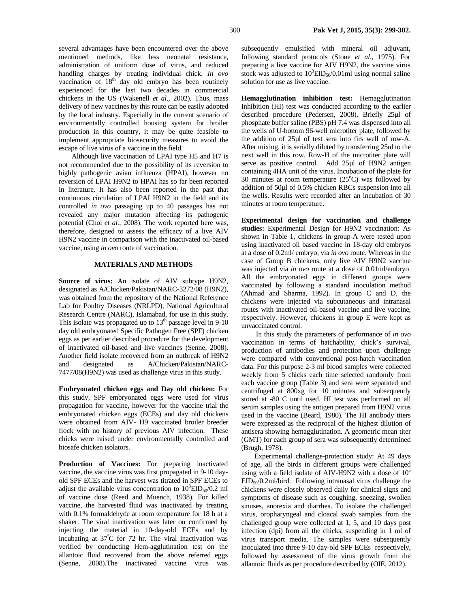several advantages have been encountered over the above mentioned methods, like less neonatal resistance, administration of uniform dose of virus, and reduced handling charges by treating individual chick. *In ovo* vaccination of  $18<sup>th</sup>$  day old embryo has been routinely experienced for the last two decades in commercial chickens in the US (Wakenell *et al.*, 2002). Thus, mass delivery of new vaccines by this route can be easily adopted by the local industry. Especially in the current scenario of environmentally controlled housing system for broiler production in this country, it may be quite feasible to implement appropriate biosecurity measures to avoid the escape of live virus of a vaccine in the field.

Although live vaccination of LPAI type H5 and H7 is not recommended due to the possibility of its reversion to highly pathogenic avian influenza (HPAI), however no reversion of LPAI H9N2 to HPAI has so far been reported in literature. It has also been reported in the past that continuous circulation of LPAI H9N2 in the field and its controlled *in ovo* passaging up to 40 passages has not revealed any major mutation affecting its pathogenic potential (Choi *et al.*, 2008). The work reported here was, therefore, designed to assess the efficacy of a live AIV H9N2 vaccine in comparison with the inactivated oil-based vaccine, using *in ovo* route of vaccination.

## **MATERIALS AND METHODS**

**Source of virus:** An isolate of AIV subtype H9N2, designated as A/Chicken/Pakistan/NARC-3272/08 (H9N2), was obtained from the repository of the National Reference Lab for Poultry Diseases (NRLPD), National Agricultural Research Centre (NARC), Islamabad, for use in this study. This isolate was propagated up to  $13<sup>th</sup>$  passage level in 9-10 day old embryonated Specific Pathogen Free (SPF) chicken eggs as per earlier described procedure for the development of inactivated oil-based and live vaccines (Senne, 2008). Another field isolate recovered from an outbreak of H9N2 and designated as A/Chicken/Pakistan/NARC-7477/08(H9N2) was used as challenge virus in this study.

**Embryonated chicken eggs and Day old chicken:** For this study, SPF embryonated eggs were used for virus propagation for vaccine, however for the vaccine trial the embryonated chicken eggs (ECEs) and day old chickens were obtained from AIV- H9 vaccinated broiler breeder flock with no history of previous AIV infection. These chicks were raised under environmentally controlled and biosafe chicken isolators.

Production of Vaccines: For preparing inactivated vaccine, the vaccine virus was first propagated in 9-10 dayold SPF ECEs and the harvest was titrated in SPF ECEs to adjust the available virus concentration to  $10^8$ EID<sub>50</sub>/0.2 ml of vaccine dose (Reed and Muench, 1938). For killed vaccine, the harvested fluid was inactivated by treating with 0.1% formaldehyde at room temperature for 18 h at a shaker. The viral inactivation was later on confirmed by injecting the material in 10-day-old ECEs and by incubating at 37º C for 72 hr. The viral inactivation was verified by conducting Hem-agglutination test on the allantoic fluid recovered from the above referred eggs (Senne, 2008).The inactivated vaccine virus was

subsequently emulsified with mineral oil adjuvant, following standard protocols (Stone *et al*., 1975). For preparing a live vaccine for AIV H9N2, the vaccine virus stock was adjusted to  $10^3$ EID<sub>50</sub>/0.01ml using normal saline solution for use as live vaccine.

**Hemagglutination inhibition test:** Hemagglutination Inhibition (HI) test was conducted according to the earlier described procedure (Pedersen, 2008). Briefly 25µl of phosphate buffer saline (PBS) pH 7.4 was dispensed into all the wells of U-bottom 96-well microtiter plate, followed by the addition of 25µl of test sera into firs well of row-A. After mixing, it is serially diluted by transferring 25ul to the next well in this row. Row-H of the microtiter plate will serve as positive control. Add 25µl of H9N2 antigen containing 4HA unit of the virus. Incubation of the plate for 30 minutes at room temperature  $(25^{\circ}C)$  was followed by addition of 50µl of 0.5% chicken RBCs suspension into all the wells. Results were recorded after an incubation of 30 minutes at room temperature.

**Experimental design for vaccination and challenge studies:** Experimental Design for H9N2 vaccination: As shown in Table 1, chickens in group-A were tested upon using inactivated oil based vaccine in 18-day old embryos at a dose of 0.2ml/ embryo, via *in ovo* route. Whereas in the case of Group B chickens, only live AIV H9N2 vaccine was injected via *in ovo* route at a dose of 0.01ml/embryo. All the embryonated eggs in different groups were vaccinated by following a standard inoculation method (Ahmad and Sharma, 1992). In group C and D, the chickens were injected via subcutaneous and intranasal routes with inactivated oil-based vaccine and live vaccine, respectively. However, chickens in group E were kept as unvaccinated control.

 In this study the parameters of performance of *in ovo* vaccination in terms of hatchability, chick's survival, production of antibodies and protection upon challenge were compared with conventional post-hatch vaccination data. For this purpose 2-3 ml blood samples were collected weekly from 5 chicks each time selected randomly from each vaccine group (Table 3) and sera were separated and centrifuged at 800xg for 10 minutes and subsequently stored at -80 C until used. HI test was performed on all serum samples using the antigen prepared from H9N2 virus used in the vaccine (Beard, 1980). The HI antibody titers were expressed as the reciprocal of the highest dilution of antisera showing hemagglutination. A geometric mean titer (GMT) for each group of sera was subsequently determined (Brugh, 1978).

Experimental challenge-protection study: At 49 days of age, all the birds in different groups were challenged using with a field isolate of AIV-H9N2 with a dose of  $10^5$ EID50/0.2ml/bird. Following intranasal virus challenge the chickens were closely observed daily for clinical signs and symptoms of disease such as coughing, sneezing, swollen sinuses, anorexia and diarrhea. To isolate the challenged virus, oropharyngeal and cloacal swab samples from the challenged group were collected at 1, 5, and 10 days post infection (dpi) from all the chicks, suspending in 1 ml of virus transport media. The samples were subsequently inoculated into three 9-10 day-old SPF ECEs respectively, followed by assessment of the virus growth from the allantoic fluids as per procedure described by (OIE, 2012).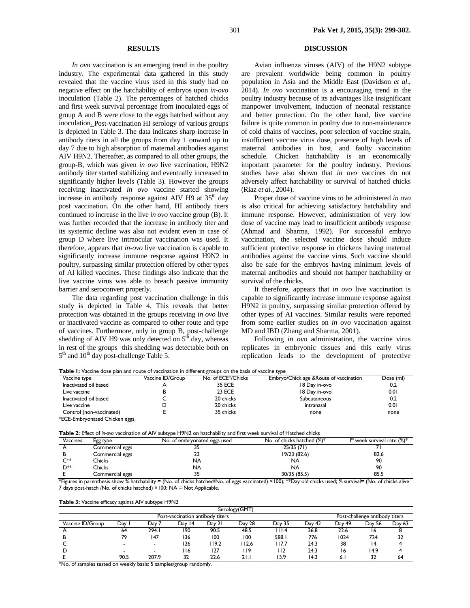#### **RESULTS**

*In ovo* vaccination is an emerging trend in the poultry industry. The experimental data gathered in this study revealed that the vaccine virus used in this study had no negative effect on the hatchability of embryos upon *in-ovo* inoculation (Table 2). The percentages of hatched chicks and first week survival percentage from inoculated eggs of group A and B were close to the eggs hatched without any inoculation. Post-vaccination HI serology of various groups is depicted in Table 3. The data indicates sharp increase in antibody titers in all the groups from day 1 onward up to day 7 due to high absorption of maternal antibodies against AIV H9N2. Thereafter, as compared to all other groups, the group-B, which was given *in ovo* live vaccination, H9N2 antibody titer started stabilizing and eventually increased to significantly higher levels (Table 3). However the groups receiving inactivated *in ovo* vaccine started showing increase in antibody response against AIV H9 at  $35<sup>th</sup>$  day post vaccination. On the other hand, HI antibody titers continued to increase in the live *in ovo* vaccine group (B). It was further recorded that the increase in antibody titer and its systemic decline was also not evident even in case of group D where live intraocular vaccination was used. It therefore, appears that *in-ovo* live vaccination is capable to significantly increase immune response against H9N2 in poultry, surpassing similar protection offered by other types of AI killed vaccines. These findings also indicate that the live vaccine virus was able to breach passive immunity barrier and seroconvert properly.

The data regarding post vaccination challenge in this study is depicted in Table 4. This reveals that better protection was obtained in the groups receiving *in ovo* live or inactivated vaccine as compared to other route and type of vaccines. Furthermore, only in group B, post-challenge shedding of AIV H9 was only detected on  $5<sup>th</sup>$  day, whereas in rest of the groups this shedding was detectable both on  $5<sup>th</sup>$  and  $10<sup>th</sup>$  day post-challenge Table 5.

### **DISCUSSION**

Avian influenza viruses (AIV) of the H9N2 subtype are prevalent worldwide being common in poultry population in Asia and the Middle East (Davidson *et al*., 2014). *In ovo* vaccination is a encouraging trend in the poultry industry because of its advantages like insignificant manpower involvement, induction of neonatal resistance and better protection. On the other hand, live vaccine failure is quite common in poultry due to non-maintenance of cold chains of vaccines, poor selection of vaccine strain, insufficient vaccine virus dose, presence of high levels of maternal antibodies in host, and faulty vaccination schedule. Chicken hatchability is an economically important parameter for the poultry industry. Previous studies have also shown that *in ovo* vaccines do not adversely affect hatchability or survival of hatched chicks (Riaz *et al.*, 2004).

Proper dose of vaccine virus to be administered *in ovo* is also critical for achieving satisfactory hatchability and immune response. However, administration of very low dose of vaccine may lead to insufficient antibody response (Ahmad and Sharma, 1992). For successful embryo vaccination, the selected vaccine dose should induce sufficient protective response in chickens having maternal antibodies against the vaccine virus. Such vaccine should also be safe for the embryos having minimum levels of maternal antibodies and should not hamper hatchability or survival of the chicks.

It therefore, appears that *in ovo* live vaccination is capable to significantly increase immune response against H9N2 in poultry, surpassing similar protection offered by other types of AI vaccines. Similar results were reported from some earlier studies on *in ovo* vaccination against MD and IBD (Zhang and Sharma, 2001).

Following *in ovo* administration, the vaccine virus replicates in embryonic tissues and this early virus replication leads to the development of protective

|  |  |  |  | <b>Table 1:</b> Vaccine dose plan and route of vaccination in different groups on the basis of vaccine type |  |  |  |  |  |
|--|--|--|--|-------------------------------------------------------------------------------------------------------------|--|--|--|--|--|
|  |  |  |  |                                                                                                             |  |  |  |  |  |

| Vaccine type             | Vaccine ID/Group | No. of ECE*/Chicks | Embryo/Chick age & Route of vaccination | Dose (ml) |  |  |  |  |  |
|--------------------------|------------------|--------------------|-----------------------------------------|-----------|--|--|--|--|--|
| Inactivated oil based    |                  | <b>35 ECE</b>      | 18 Day in-ovo                           | v.∠       |  |  |  |  |  |
| Live vaccine             |                  | <b>23 ECE</b>      | 18 Day in-ovo                           | 0.01      |  |  |  |  |  |
| Inactivated oil based    |                  | 20 chicks          | Subcutaneous                            | 0.2       |  |  |  |  |  |
| Live vaccine             |                  | 20 chicks          | intranasal                              | 0.01      |  |  |  |  |  |
| Control (non-vaccinated) |                  | 35 chicks          | none                                    | none      |  |  |  |  |  |

\*ECE-Embryonated Chicken eggs.

**Table 2:** Effect of *in-ovo* vaccination of AIV subtype H9N2 on hatchability and first week survival of Hatched chicks

| Vaccines    | Egg type           | No. of embryonated eggs used | No. of chicks hatched (%)*                                                                                  | $I^{st}$ week survival rate $(\%)^*$ |
|-------------|--------------------|------------------------------|-------------------------------------------------------------------------------------------------------------|--------------------------------------|
|             | Commercial eggs    | J J                          | 25/35(71)                                                                                                   |                                      |
|             | Commercial eggs    |                              | 19/23 (82.6)                                                                                                | 82.6                                 |
| $C^{**}$    | Chicks             | NA                           | <b>NA</b>                                                                                                   | 90                                   |
| D**         | Chicks             | NA                           | NA                                                                                                          | 90                                   |
|             | Commercial eggs    |                              | 30/35 (85.5)                                                                                                | 85.5                                 |
| $1.1 - 1.1$ | $\sim$ $\sim$<br>. | $\cdots$<br>$\sqrt{2}$<br>.  | $\mathbf{r} = \mathbf{r} \cdot \mathbf{r} + \mathbf{r} \cdot \mathbf{r} + \mathbf{r} \cdot \mathbf{r}$<br>. | $\sim$<br>$\sqrt{2}$<br>.            |

\*Figures in parenthesis show % hatchability = (No. of chicks hatched/No. of eggs vaccinated) ×100); \*\*Day old chicks used; % survival= (No. of chicks alive 7 days post-hatch /No. of chicks hatched) ×100; NA = Not Applicable.

**Table 3:** Vaccine efficacy against AIV subtype H9N2

|                                  | Serology(GMT) |                          |           |        |        |                                |        |        |        |        |
|----------------------------------|---------------|--------------------------|-----------|--------|--------|--------------------------------|--------|--------|--------|--------|
| Post-vaccination antibody titers |               |                          |           |        |        | Post-challenge antibody titers |        |        |        |        |
| Vaccine ID/Group                 | Day           | Dav 7                    | 14<br>Day | Dav 21 | Day 28 | Day 35                         | Day 42 | Day 49 | Day 56 | Day 63 |
|                                  | 64            | 294.1                    | 190       | 90.5   | 48.5   | 11.4                           | 36.8   | 22.6   | 16     |        |
|                                  | 79            | 147                      | 136       | 100    | 100    | 588.                           | 776    | 1024   | 724    | 32     |
|                                  |               | $\overline{\phantom{a}}$ | 126       | 19.2   | 112.6  | 117.7                          | 24.3   | 38     | 14     |        |
|                                  |               | $\overline{\phantom{a}}$ | 116       | 127    | l 19   | l 12                           | 24.3   | 16     | 14.9   |        |
|                                  | 90.5          | 207.9                    | 32        | 22.6   | 21.1   | 13.9                           | 14.3   | 6.1    | 32     | 64     |

\*No. of samples tested on weekly basis: 5 samples/group randomly.